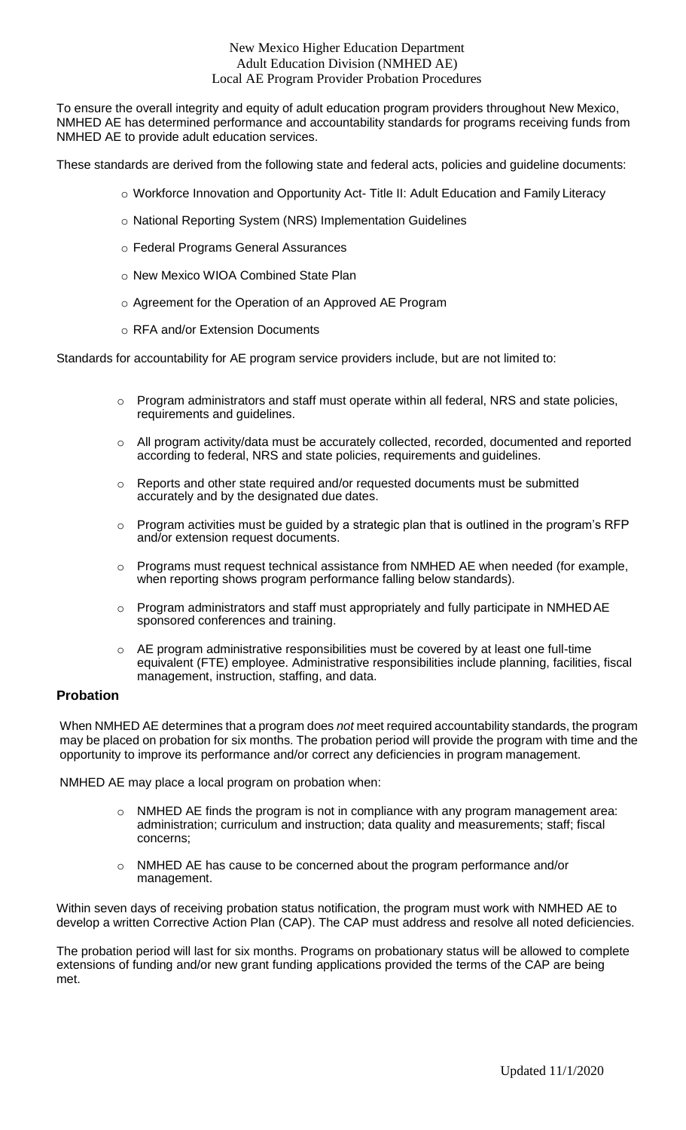## New Mexico Higher Education Department Adult Education Division (NMHED AE) Local AE Program Provider Probation Procedures

To ensure the overall integrity and equity of adult education program providers throughout New Mexico, NMHED AE has determined performance and accountability standards for programs receiving funds from NMHED AE to provide adult education services.

These standards are derived from the following state and federal acts, policies and guideline documents:

- o Workforce Innovation and Opportunity Act- Title II: Adult Education and Family Literacy
- o National Reporting System (NRS) Implementation Guidelines
- o Federal Programs General Assurances
- o New Mexico WIOA Combined State Plan
- o Agreement for the Operation of an Approved AE Program
- o RFA and/or Extension Documents

Standards for accountability for AE program service providers include, but are not limited to:

- o Program administrators and staff must operate within all federal, NRS and state policies, requirements and guidelines.
- o All program activity/data must be accurately collected, recorded, documented and reported according to federal, NRS and state policies, requirements and guidelines.
- o Reports and other state required and/or requested documents must be submitted accurately and by the designated due dates.
- $\circ$  Program activities must be guided by a strategic plan that is outlined in the program's RFP and/or extension request documents.
- $\circ$  Programs must request technical assistance from NMHED AE when needed (for example, when reporting shows program performance falling below standards).
- o Program administrators and staff must appropriately and fully participate in NMHEDAE sponsored conferences and training.
- o AE program administrative responsibilities must be covered by at least one full-time equivalent (FTE) employee. Administrative responsibilities include planning, facilities, fiscal management, instruction, staffing, and data.

## **Probation**

When NMHED AE determines that a program does *not* meet required accountability standards, the program may be placed on probation for six months. The probation period will provide the program with time and the opportunity to improve its performance and/or correct any deficiencies in program management.

NMHED AE may place a local program on probation when:

- o NMHED AE finds the program is not in compliance with any program management area: administration; curriculum and instruction; data quality and measurements; staff; fiscal concerns;
- o NMHED AE has cause to be concerned about the program performance and/or management.

Within seven days of receiving probation status notification, the program must work with NMHED AE to develop a written Corrective Action Plan (CAP). The CAP must address and resolve all noted deficiencies.

The probation period will last for six months. Programs on probationary status will be allowed to complete extensions of funding and/or new grant funding applications provided the terms of the CAP are being met.